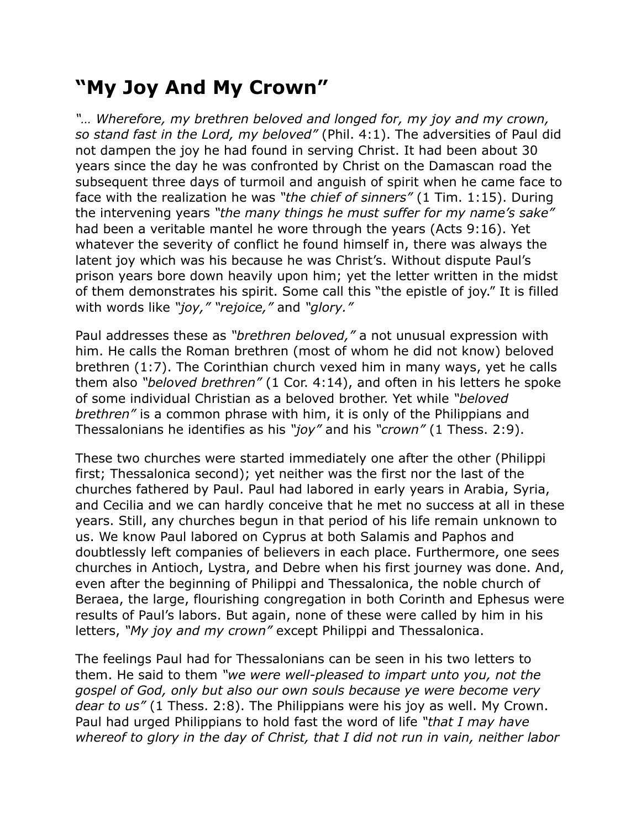## **"My Joy And My Crown"**

*"… Wherefore, my brethren beloved and longed for, my joy and my crown, so stand fast in the Lord, my beloved"* (Phil. 4:1). The adversities of Paul did not dampen the joy he had found in serving Christ. It had been about 30 years since the day he was confronted by Christ on the Damascan road the subsequent three days of turmoil and anguish of spirit when he came face to face with the realization he was *"the chief of sinners"* (1 Tim. 1:15). During the intervening years *"the many things he must suffer for my name's sake"* had been a veritable mantel he wore through the years (Acts 9:16). Yet whatever the severity of conflict he found himself in, there was always the latent joy which was his because he was Christ's. Without dispute Paul's prison years bore down heavily upon him; yet the letter written in the midst of them demonstrates his spirit. Some call this "the epistle of joy." It is filled with words like *"joy," "rejoice,"* and *"glory."*

Paul addresses these as *"brethren beloved,"* a not unusual expression with him. He calls the Roman brethren (most of whom he did not know) beloved brethren (1:7). The Corinthian church vexed him in many ways, yet he calls them also *"beloved brethren"* (1 Cor. 4:14), and often in his letters he spoke of some individual Christian as a beloved brother. Yet while *"beloved brethren"* is a common phrase with him, it is only of the Philippians and Thessalonians he identifies as his *"joy"* and his *"crown"* (1 Thess. 2:9).

These two churches were started immediately one after the other (Philippi first; Thessalonica second); yet neither was the first nor the last of the churches fathered by Paul. Paul had labored in early years in Arabia, Syria, and Cecilia and we can hardly conceive that he met no success at all in these years. Still, any churches begun in that period of his life remain unknown to us. We know Paul labored on Cyprus at both Salamis and Paphos and doubtlessly left companies of believers in each place. Furthermore, one sees churches in Antioch, Lystra, and Debre when his first journey was done. And, even after the beginning of Philippi and Thessalonica, the noble church of Beraea, the large, flourishing congregation in both Corinth and Ephesus were results of Paul's labors. But again, none of these were called by him in his letters, *"My joy and my crown"* except Philippi and Thessalonica.

The feelings Paul had for Thessalonians can be seen in his two letters to them. He said to them *"we were well-pleased to impart unto you, not the gospel of God, only but also our own souls because ye were become very dear to us"* (1 Thess. 2:8). The Philippians were his joy as well. My Crown. Paul had urged Philippians to hold fast the word of life *"that I may have whereof to glory in the day of Christ, that I did not run in vain, neither labor*